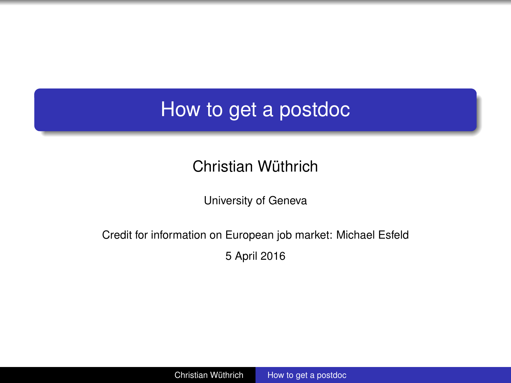# <span id="page-0-0"></span>How to get a postdoc

### Christian Wüthrich

University of Geneva

#### Credit for information on European job market: Michael Esfeld 5 April 2016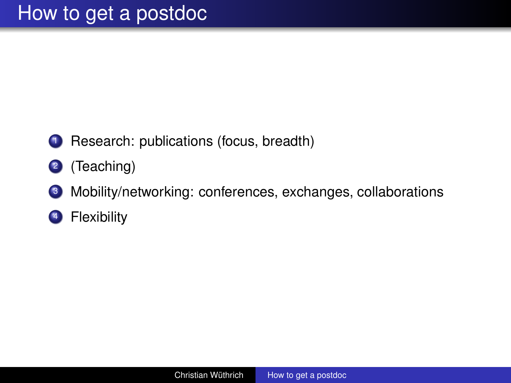- Research: publications (focus, breadth)
- (Teaching)
- Mobility/networking: conferences, exchanges, collaborations
- Flexibility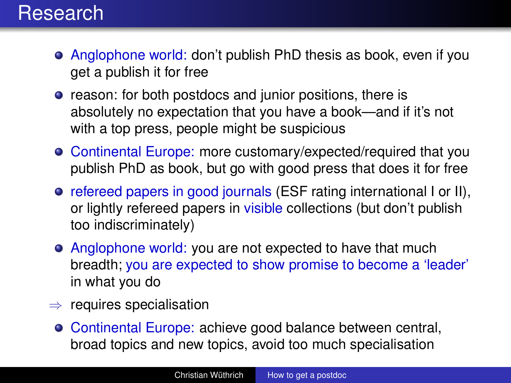- Anglophone world: don't publish PhD thesis as book, even if you get a publish it for free
- reason: for both postdocs and junior positions, there is absolutely no expectation that you have a book—and if it's not with a top press, people might be suspicious
- Continental Europe: more customary/expected/required that you publish PhD as book, but go with good press that does it for free
- refereed papers in good journals (ESF rating international I or II), or lightly refereed papers in visible collections (but don't publish too indiscriminately)
- Anglophone world: you are not expected to have that much breadth; you are expected to show promise to become a 'leader' in what you do
- $\Rightarrow$  requires specialisation
	- Continental Europe: achieve good balance between central, broad topics and new topics, avoid too much specialisation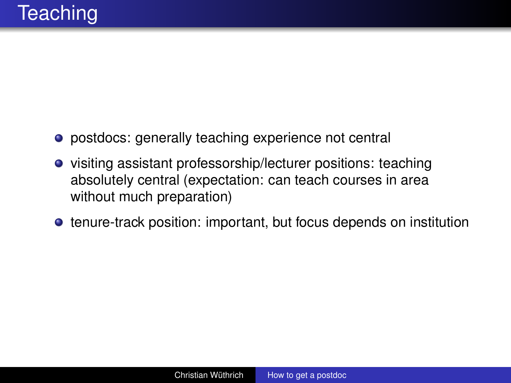- postdocs: generally teaching experience not central
- visiting assistant professorship/lecturer positions: teaching absolutely central (expectation: can teach courses in area without much preparation)
- tenure-track position: important, but focus depends on institution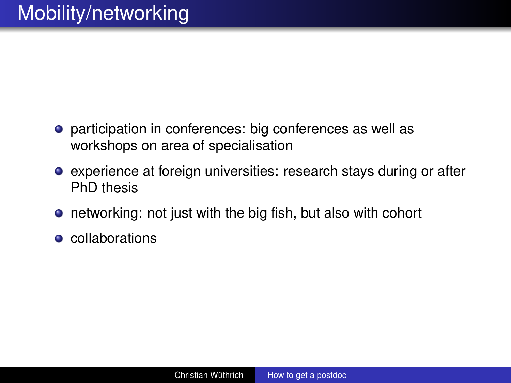- **•** participation in conferences: big conferences as well as workshops on area of specialisation
- experience at foreign universities: research stays during or after PhD thesis
- networking: not just with the big fish, but also with cohort
- **e** collaborations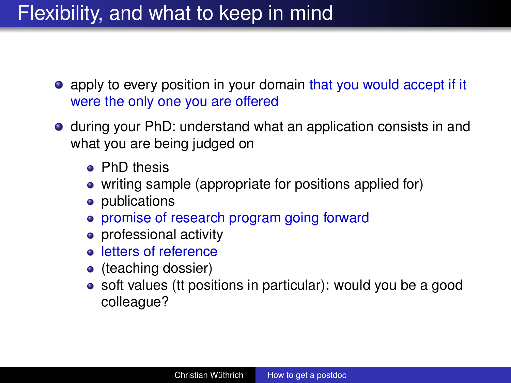# Flexibility, and what to keep in mind

- apply to every position in your domain that you would accept if it were the only one you are offered
- during your PhD: understand what an application consists in and what you are being judged on
	- **•** PhD thesis
	- writing sample (appropriate for positions applied for)
	- publications
	- promise of research program going forward
	- professional activity
	- **e** letters of reference
	- (teaching dossier)
	- soft values (tt positions in particular): would you be a good colleague?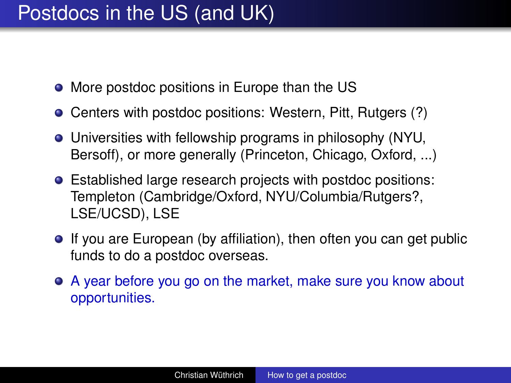- More postdoc positions in Europe than the US
- Centers with postdoc positions: Western, Pitt, Rutgers (?)
- Universities with fellowship programs in philosophy (NYU, Bersoff), or more generally (Princeton, Chicago, Oxford, ...)
- Established large research projects with postdoc positions: Templeton (Cambridge/Oxford, NYU/Columbia/Rutgers?, LSE/UCSD), LSE
- **If you are European (by affiliation), then often you can get public** funds to do a postdoc overseas.
- A year before you go on the market, make sure you know about opportunities.